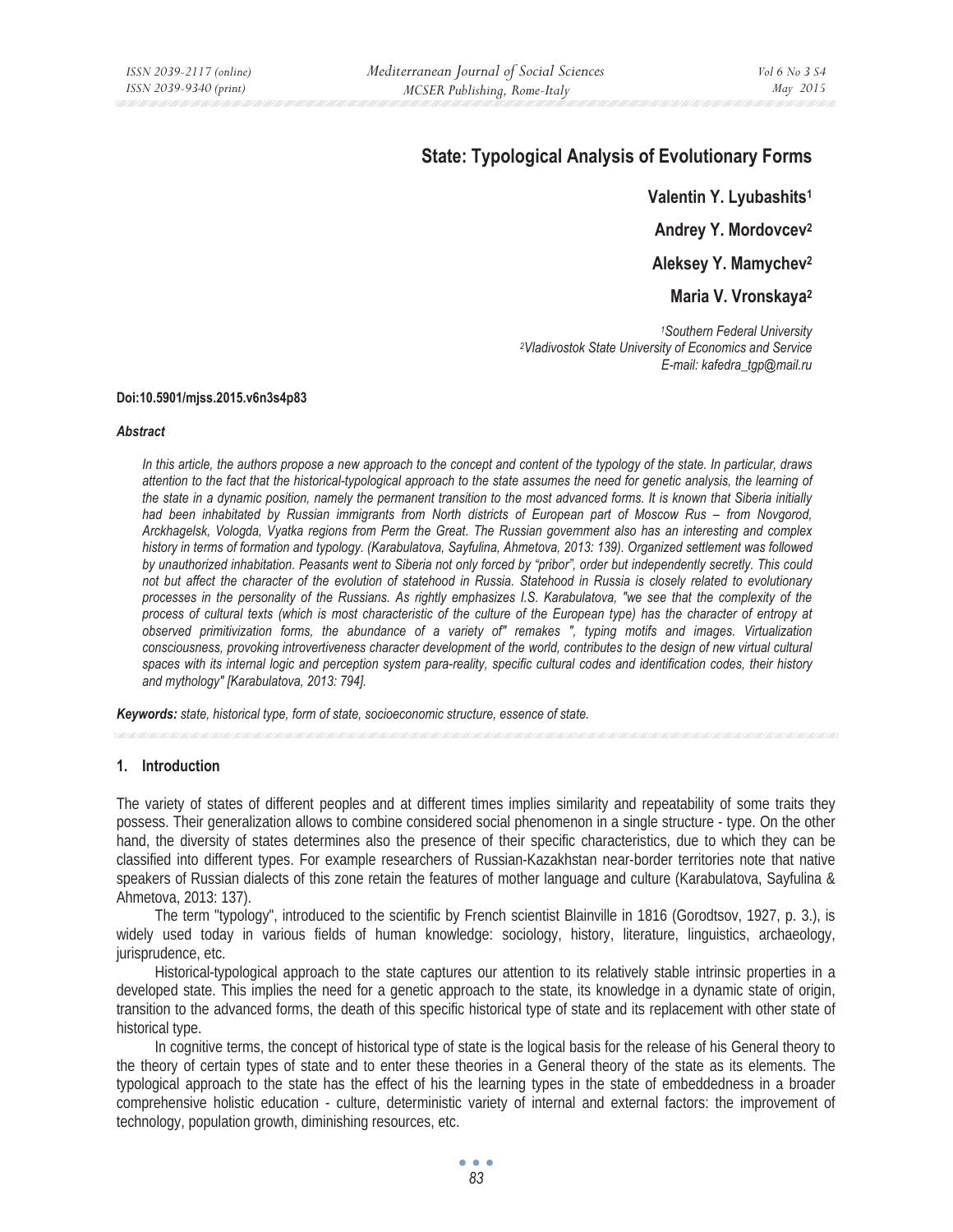# **State: Typological Analysis of Evolutionary Forms**

**Valentin Y. Lyubashits1**

**Andrey Y. Mordovcev2**

**Aleksey Y. Mamychev2**

**Maria V. Vronskaya2**

*1Southern Federal University 2Vladivostok State University of Economics and Service E-mail: kafedra\_tgp@mail.ru* 

#### **Doi:10.5901/mjss.2015.v6n3s4p83**

#### *Abstract*

*In this article, the authors propose a new approach to the concept and content of the typology of the state. In particular, draws attention to the fact that the historical-typological approach to the state assumes the need for genetic analysis, the learning of the state in a dynamic position, namely the permanent transition to the most advanced forms. It is known that Siberia initially* had been inhabitated by Russian immigrants from North districts of European part of Moscow Rus – from Novgorod, *Arckhagelsk, Vologda, Vyatka regions from Perm the Great. The Russian government also has an interesting and complex history in terms of formation and typology. (Karabulatova, Sayfulina, Ahmetova, 2013: 139). Organized settlement was followed by unauthorized inhabitation. Peasants went to Siberia not only forced by "pribor", order but independently secretly. This could not but affect the character of the evolution of statehood in Russia. Statehood in Russia is closely related to evolutionary processes in the personality of the Russians. As rightly emphasizes I.S. Karabulatova, "we see that the complexity of the process of cultural texts (which is most characteristic of the culture of the European type) has the character of entropy at observed primitivization forms, the abundance of a variety of" remakes ", typing motifs and images. Virtualization consciousness, provoking introvertiveness character development of the world, contributes to the design of new virtual cultural spaces with its internal logic and perception system para-reality, specific cultural codes and identification codes, their history and mythology" [Karabulatova, 2013: 794].* 

*Keywords: state, historical type, form of state, socioeconomic structure, essence of state.*

### **1. Introduction**

The variety of states of different peoples and at different times implies similarity and repeatability of some traits they possess. Their generalization allows to combine considered social phenomenon in a single structure - type. On the other hand, the diversity of states determines also the presence of their specific characteristics, due to which they can be classified into different types. For example researchers of Russian-Kazakhstan near-border territories note that native speakers of Russian dialects of this zone retain the features of mother language and culture (Karabulatova, Sayfulina & Ahmetova, 2013: 137).

The term "typology", introduced to the scientific by French scientist Blainville in 1816 (Gorodtsov, 1927, p. 3.), is widely used today in various fields of human knowledge: sociology, history, literature, linguistics, archaeology, jurisprudence, etc.

Historical-typological approach to the state captures our attention to its relatively stable intrinsic properties in a developed state. This implies the need for a genetic approach to the state, its knowledge in a dynamic state of origin, transition to the advanced forms, the death of this specific historical type of state and its replacement with other state of historical type.

In cognitive terms, the concept of historical type of state is the logical basis for the release of his General theory to the theory of certain types of state and to enter these theories in a General theory of the state as its elements. The typological approach to the state has the effect of his the learning types in the state of embeddedness in a broader comprehensive holistic education - culture, deterministic variety of internal and external factors: the improvement of technology, population growth, diminishing resources, etc.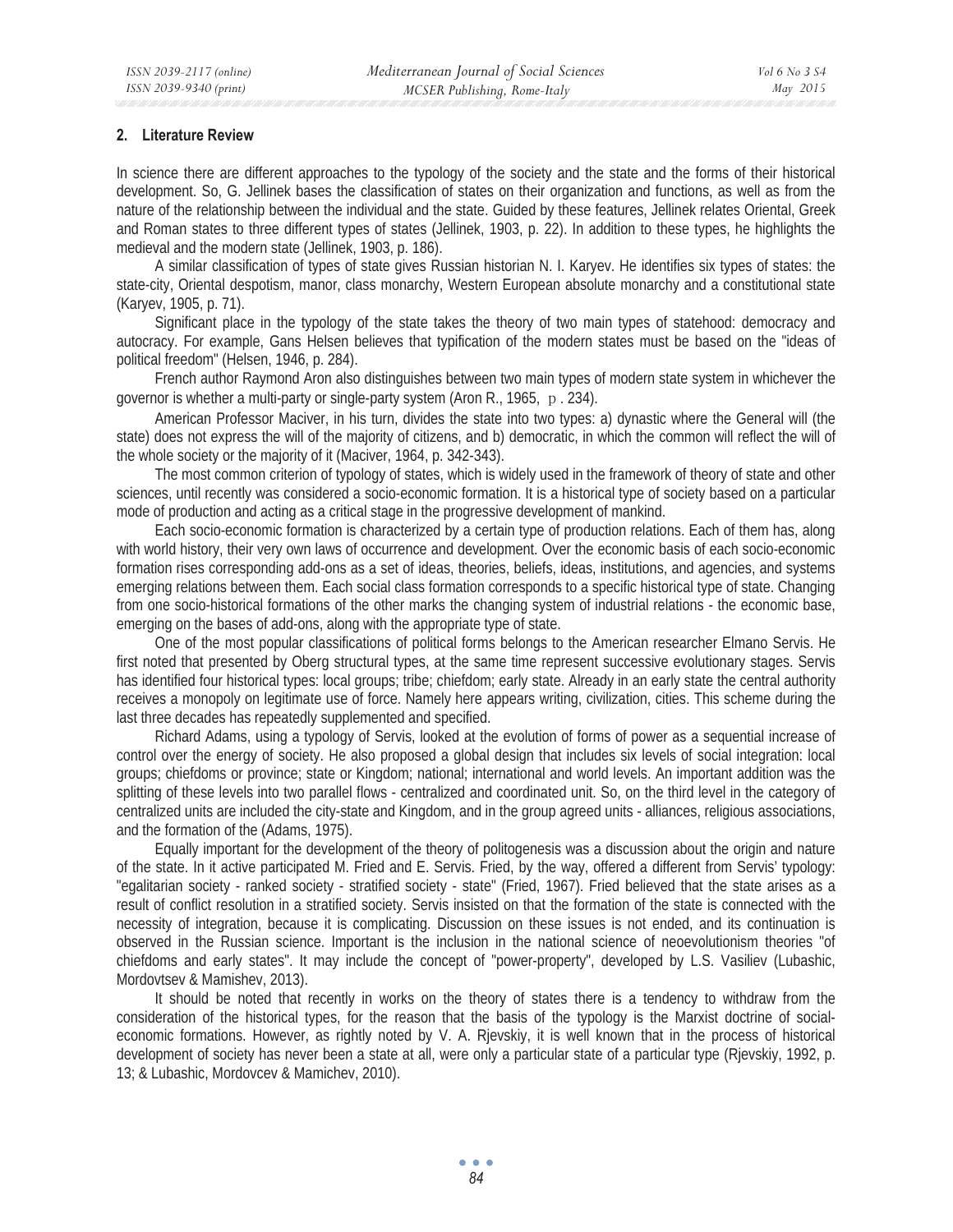# **2. Literature Review**

In science there are different approaches to the typology of the society and the state and the forms of their historical development. So, G. Jellinek bases the classification of states on their organization and functions, as well as from the nature of the relationship between the individual and the state. Guided by these features, Jellinek relates Oriental, Greek and Roman states to three different types of states (Jellinek, 1903, p. 22). In addition to these types, he highlights the medieval and the modern state (Jellinek, 1903, p. 186).

A similar classification of types of state gives Russian historian N. I. Karyev. He identifies six types of states: the state-city, Oriental despotism, manor, class monarchy, Western European absolute monarchy and a constitutional state (Karyev, 1905, p. 71).

Significant place in the typology of the state takes the theory of two main types of statehood: democracy and autocracy. For example, Gans Helsen believes that typification of the modern states must be based on the "ideas of political freedom" (Helsen, 1946, p. 284).

French author Raymond Aron also distinguishes between two main types of modern state system in whichever the governor is whether a multi-party or single-party system (Aron R., 1965, ɴ. 234).

American Professor Maciver, in his turn, divides the state into two types: a) dynastic where the General will (the state) does not express the will of the majority of citizens, and b) democratic, in which the common will reflect the will of the whole society or the majority of it (Maciver, 1964, p. 342-343).

The most common criterion of typology of states, which is widely used in the framework of theory of state and other sciences, until recently was considered a socio-economic formation. It is a historical type of society based on a particular mode of production and acting as a critical stage in the progressive development of mankind.

Each socio-economic formation is characterized by a certain type of production relations. Each of them has, along with world history, their very own laws of occurrence and development. Over the economic basis of each socio-economic formation rises corresponding add-ons as a set of ideas, theories, beliefs, ideas, institutions, and agencies, and systems emerging relations between them. Each social class formation corresponds to a specific historical type of state. Changing from one socio-historical formations of the other marks the changing system of industrial relations - the economic base, emerging on the bases of add-ons, along with the appropriate type of state.

One of the most popular classifications of political forms belongs to the American researcher Elmano Servis. He first noted that presented by Oberg structural types, at the same time represent successive evolutionary stages. Servis has identified four historical types: local groups; tribe; chiefdom; early state. Already in an early state the central authority receives a monopoly on legitimate use of force. Namely here appears writing, civilization, cities. This scheme during the last three decades has repeatedly supplemented and specified.

Richard Adams, using a typology of Servis, looked at the evolution of forms of power as a sequential increase of control over the energy of society. He also proposed a global design that includes six levels of social integration: local groups; chiefdoms or province; state or Kingdom; national; international and world levels. An important addition was the splitting of these levels into two parallel flows - centralized and coordinated unit. So, on the third level in the category of centralized units are included the city-state and Kingdom, and in the group agreed units - alliances, religious associations, and the formation of the (Adams, 1975).

Equally important for the development of the theory of politogenesis was a discussion about the origin and nature of the state. In it active participated M. Fried and E. Servis. Fried, by the way, offered a different from Servis' typology: "egalitarian society - ranked society - stratified society - state" (Fried, 1967). Fried believed that the state arises as a result of conflict resolution in a stratified society. Servis insisted on that the formation of the state is connected with the necessity of integration, because it is complicating. Discussion on these issues is not ended, and its continuation is observed in the Russian science. Important is the inclusion in the national science of neoevolutionism theories "of chiefdoms and early states". It may include the concept of "power-property", developed by L.S. Vasiliev (Lubashic, Mordovtsev & Mamishev, 2013).

It should be noted that recently in works on the theory of states there is a tendency to withdraw from the consideration of the historical types, for the reason that the basis of the typology is the Marxist doctrine of socialeconomic formations. However, as rightly noted by V. A. Rjevskiy, it is well known that in the process of historical development of society has never been a state at all, were only a particular state of a particular type (Rjevskiy, 1992, p. 13; & Lubashic, Mordovcev & Mamichev, 2010).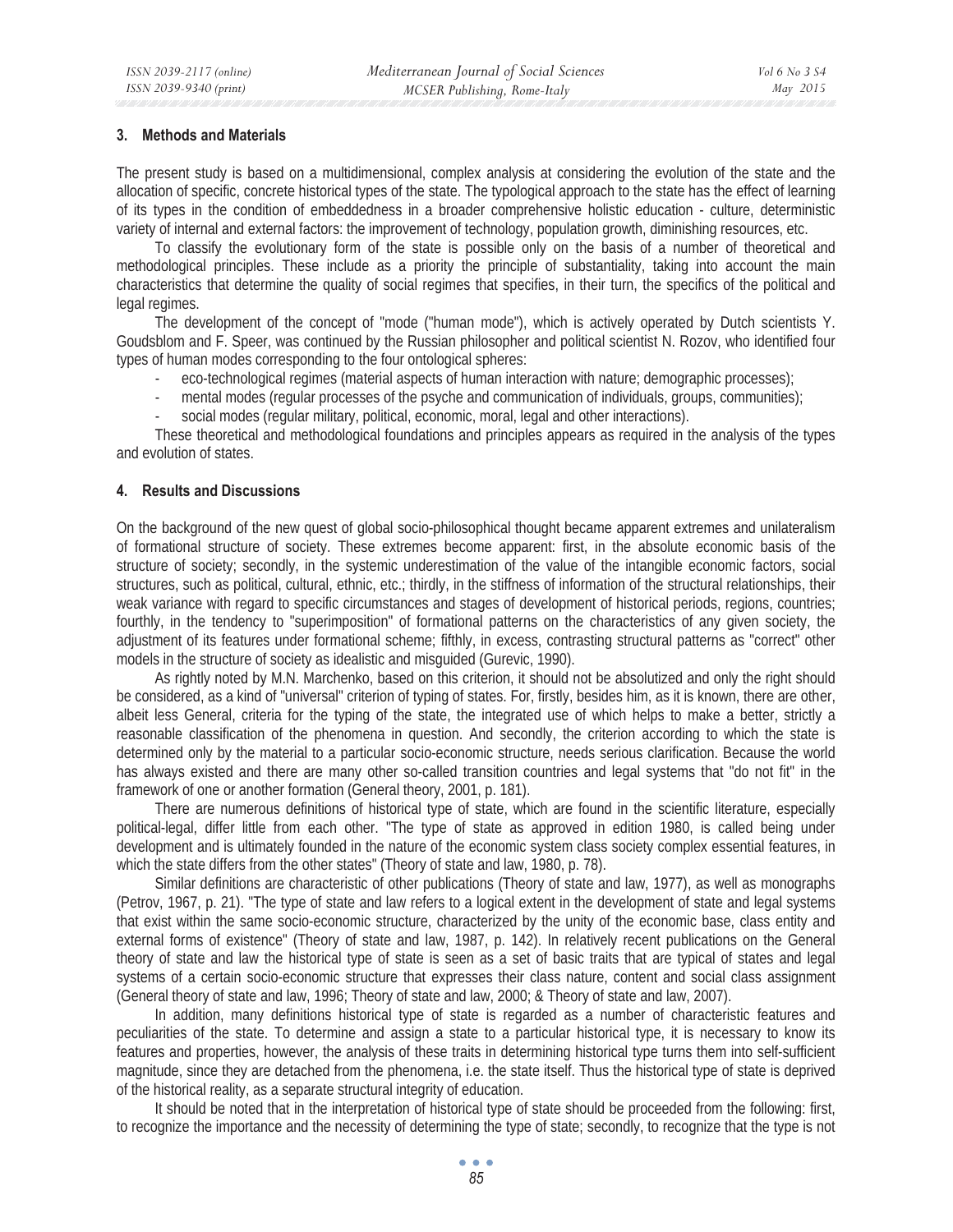## **3. Methods and Materials**

The present study is based on a multidimensional, complex analysis at considering the evolution of the state and the allocation of specific, concrete historical types of the state. The typological approach to the state has the effect of learning of its types in the condition of embeddedness in a broader comprehensive holistic education - culture, deterministic variety of internal and external factors: the improvement of technology, population growth, diminishing resources, etc.

To classify the evolutionary form of the state is possible only on the basis of a number of theoretical and methodological principles. These include as a priority the principle of substantiality, taking into account the main characteristics that determine the quality of social regimes that specifies, in their turn, the specifics of the political and legal regimes.

The development of the concept of "mode ("human mode"), which is actively operated by Dutch scientists Y. Goudsblom and F. Speer, was continued by the Russian philosopher and political scientist N. Rozov, who identified four types of human modes corresponding to the four ontological spheres:

- eco-technological regimes (material aspects of human interaction with nature; demographic processes);
- mental modes (regular processes of the psyche and communication of individuals, groups, communities);
- social modes (regular military, political, economic, moral, legal and other interactions).

These theoretical and methodological foundations and principles appears as required in the analysis of the types and evolution of states.

## **4. Results and Discussions**

On the background of the new quest of global socio-philosophical thought became apparent extremes and unilateralism of formational structure of society. These extremes become apparent: first, in the absolute economic basis of the structure of society; secondly, in the systemic underestimation of the value of the intangible economic factors, social structures, such as political, cultural, ethnic, etc.; thirdly, in the stiffness of information of the structural relationships, their weak variance with regard to specific circumstances and stages of development of historical periods, regions, countries; fourthly, in the tendency to "superimposition" of formational patterns on the characteristics of any given society, the adjustment of its features under formational scheme; fifthly, in excess, contrasting structural patterns as "correct" other models in the structure of society as idealistic and misguided (Gurevic, 1990).

As rightly noted by M.N. Marchenko, based on this criterion, it should not be absolutized and only the right should be considered, as a kind of "universal" criterion of typing of states. For, firstly, besides him, as it is known, there are other, albeit less General, criteria for the typing of the state, the integrated use of which helps to make a better, strictly a reasonable classification of the phenomena in question. And secondly, the criterion according to which the state is determined only by the material to a particular socio-economic structure, needs serious clarification. Because the world has always existed and there are many other so-called transition countries and legal systems that "do not fit" in the framework of one or another formation (General theory, 2001, p. 181).

There are numerous definitions of historical type of state, which are found in the scientific literature, especially political-legal, differ little from each other. "The type of state as approved in edition 1980, is called being under development and is ultimately founded in the nature of the economic system class society complex essential features, in which the state differs from the other states" (Theory of state and law, 1980, p. 78).

Similar definitions are characteristic of other publications (Theory of state and law, 1977), as well as monographs (Petrov, 1967, p. 21). "The type of state and law refers to a logical extent in the development of state and legal systems that exist within the same socio-economic structure, characterized by the unity of the economic base, class entity and external forms of existence" (Theory of state and law, 1987, p. 142). In relatively recent publications on the General theory of state and law the historical type of state is seen as a set of basic traits that are typical of states and legal systems of a certain socio-economic structure that expresses their class nature, content and social class assignment (General theory of state and law, 1996; Theory of state and law, 2000; & Theory of state and law, 2007).

In addition, many definitions historical type of state is regarded as a number of characteristic features and peculiarities of the state. To determine and assign a state to a particular historical type, it is necessary to know its features and properties, however, the analysis of these traits in determining historical type turns them into self-sufficient magnitude, since they are detached from the phenomena, i.e. the state itself. Thus the historical type of state is deprived of the historical reality, as a separate structural integrity of education.

It should be noted that in the interpretation of historical type of state should be proceeded from the following: first, to recognize the importance and the necessity of determining the type of state; secondly, to recognize that the type is not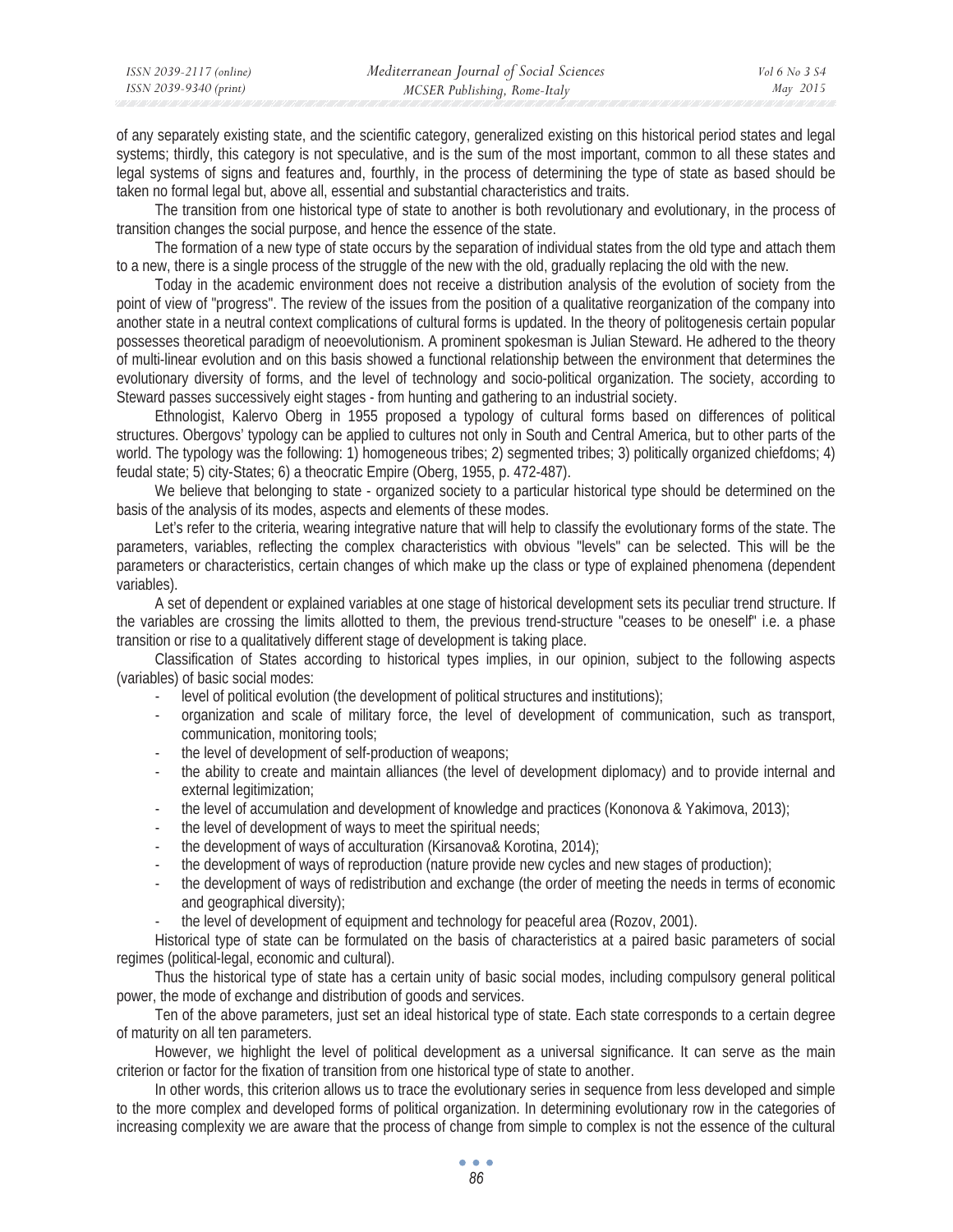| ISSN 2039-2117 (online) | Mediterranean Journal of Social Sciences | Vol 6 No 3 S4 |
|-------------------------|------------------------------------------|---------------|
| ISSN 2039-9340 (print)  | MCSER Publishing, Rome-Italy             | May 2015      |

of any separately existing state, and the scientific category, generalized existing on this historical period states and legal systems; thirdly, this category is not speculative, and is the sum of the most important, common to all these states and legal systems of signs and features and, fourthly, in the process of determining the type of state as based should be taken no formal legal but, above all, essential and substantial characteristics and traits.

The transition from one historical type of state to another is both revolutionary and evolutionary, in the process of transition changes the social purpose, and hence the essence of the state.

The formation of a new type of state occurs by the separation of individual states from the old type and attach them to a new, there is a single process of the struggle of the new with the old, gradually replacing the old with the new.

Today in the academic environment does not receive a distribution analysis of the evolution of society from the point of view of "progress". The review of the issues from the position of a qualitative reorganization of the company into another state in a neutral context complications of cultural forms is updated. In the theory of politogenesis certain popular possesses theoretical paradigm of neoevolutionism. A prominent spokesman is Julian Steward. He adhered to the theory of multi-linear evolution and on this basis showed a functional relationship between the environment that determines the evolutionary diversity of forms, and the level of technology and socio-political organization. The society, according to Steward passes successively eight stages - from hunting and gathering to an industrial society.

Ethnologist, Kalervo Oberg in 1955 proposed a typology of cultural forms based on differences of political structures. Obergovs' typology can be applied to cultures not only in South and Central America, but to other parts of the world. The typology was the following: 1) homogeneous tribes; 2) segmented tribes; 3) politically organized chiefdoms; 4) feudal state; 5) city-States; 6) a theocratic Empire (Oberg, 1955, p. 472-487).

We believe that belonging to state - organized society to a particular historical type should be determined on the basis of the analysis of its modes, aspects and elements of these modes.

Let's refer to the criteria, wearing integrative nature that will help to classify the evolutionary forms of the state. The parameters, variables, reflecting the complex characteristics with obvious "levels" can be selected. This will be the parameters or characteristics, certain changes of which make up the class or type of explained phenomena (dependent variables).

A set of dependent or explained variables at one stage of historical development sets its peculiar trend structure. If the variables are crossing the limits allotted to them, the previous trend-structure "ceases to be oneself" i.e. a phase transition or rise to a qualitatively different stage of development is taking place.

Classification of States according to historical types implies, in our opinion, subject to the following aspects (variables) of basic social modes:

- level of political evolution (the development of political structures and institutions);
- organization and scale of military force, the level of development of communication, such as transport, communication, monitoring tools;
- the level of development of self-production of weapons;
- the ability to create and maintain alliances (the level of development diplomacy) and to provide internal and external legitimization;
- the level of accumulation and development of knowledge and practices (Kononova & Yakimova, 2013);
- the level of development of ways to meet the spiritual needs;
- the development of ways of acculturation (Kirsanova& Korotina, 2014);
- the development of ways of reproduction (nature provide new cycles and new stages of production);
- the development of ways of redistribution and exchange (the order of meeting the needs in terms of economic and geographical diversity);
- the level of development of equipment and technology for peaceful area (Rozov, 2001).

Historical type of state can be formulated on the basis of characteristics at a paired basic parameters of social regimes (political-legal, economic and cultural).

Thus the historical type of state has a certain unity of basic social modes, including compulsory general political power, the mode of exchange and distribution of goods and services.

Ten of the above parameters, just set an ideal historical type of state. Each state corresponds to a certain degree of maturity on all ten parameters.

However, we highlight the level of political development as a universal significance. It can serve as the main criterion or factor for the fixation of transition from one historical type of state to another.

In other words, this criterion allows us to trace the evolutionary series in sequence from less developed and simple to the more complex and developed forms of political organization. In determining evolutionary row in the categories of increasing complexity we are aware that the process of change from simple to complex is not the essence of the cultural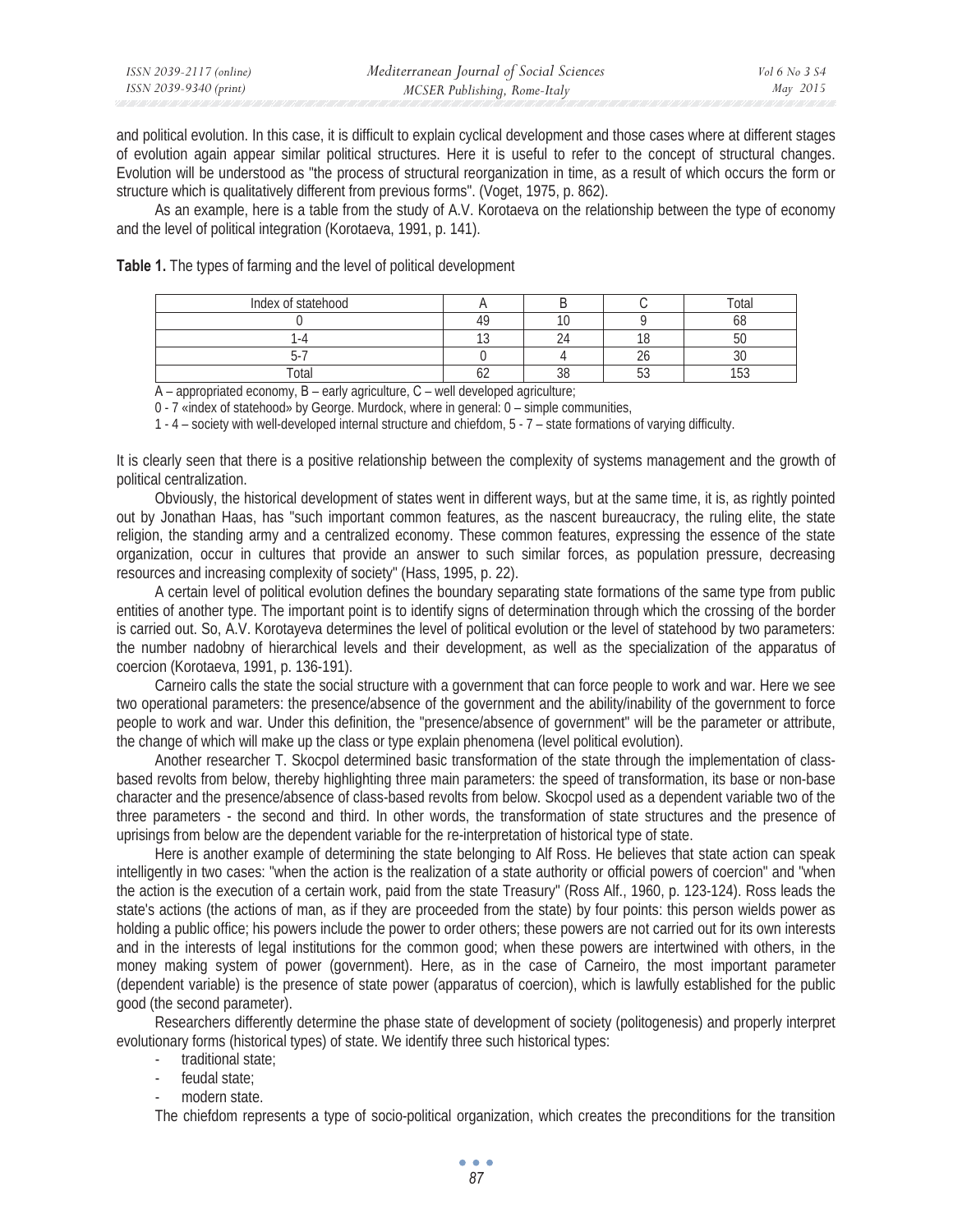and political evolution. In this case, it is difficult to explain cyclical development and those cases where at different stages of evolution again appear similar political structures. Here it is useful to refer to the concept of structural changes. Evolution will be understood as "the process of structural reorganization in time, as a result of which occurs the form or structure which is qualitatively different from previous forms". (Voget, 1975, p. 862).

As an example, here is a table from the study of A.V. Korotaeva on the relationship between the type of economy and the level of political integration (Korotaeva, 1991, p. 141).

**Table 1.** The types of farming and the level of political development

| Index of statehood |              |               |                | Total                 |
|--------------------|--------------|---------------|----------------|-----------------------|
|                    | ΔQ           | $\sim$        |                | Οŏ                    |
| $-1$               | $\sim$       |               | 10             |                       |
|                    |              |               | $\sim$<br>∠⊾   | JU                    |
| Total              | $\sim$<br>◡∠ | $\sim$ $\sim$ | $\Gamma$<br>ັບ | $-$<br>$\overline{u}$ |

 $\overline{A}$  – appropriated economy, B – early agriculture, C – well developed agriculture;

0 - 7 «index of statehood» by George. Murdock, where in general: 0 – simple communities,

1 - 4 – society with well-developed internal structure and chiefdom, 5 - 7 – state formations of varying difficulty.

It is clearly seen that there is a positive relationship between the complexity of systems management and the growth of political centralization.

Obviously, the historical development of states went in different ways, but at the same time, it is, as rightly pointed out by Jonathan Haas, has "such important common features, as the nascent bureaucracy, the ruling elite, the state religion, the standing army and a centralized economy. These common features, expressing the essence of the state organization, occur in cultures that provide an answer to such similar forces, as population pressure, decreasing resources and increasing complexity of society" (Hass, 1995, p. 22).

A certain level of political evolution defines the boundary separating state formations of the same type from public entities of another type. The important point is to identify signs of determination through which the crossing of the border is carried out. So, A.V. Korotayeva determines the level of political evolution or the level of statehood by two parameters: the number nadobny of hierarchical levels and their development, as well as the specialization of the apparatus of coercion (Korotaeva, 1991, p. 136-191).

Carneiro calls the state the social structure with a government that can force people to work and war. Here we see two operational parameters: the presence/absence of the government and the ability/inability of the government to force people to work and war. Under this definition, the "presence/absence of government" will be the parameter or attribute, the change of which will make up the class or type explain phenomena (level political evolution).

Another researcher T. Skocpol determined basic transformation of the state through the implementation of classbased revolts from below, thereby highlighting three main parameters: the speed of transformation, its base or non-base character and the presence/absence of class-based revolts from below. Skocpol used as a dependent variable two of the three parameters - the second and third. In other words, the transformation of state structures and the presence of uprisings from below are the dependent variable for the re-interpretation of historical type of state.

Here is another example of determining the state belonging to Alf Ross. He believes that state action can speak intelligently in two cases: "when the action is the realization of a state authority or official powers of coercion" and "when the action is the execution of a certain work, paid from the state Treasury" (Ross Alf., 1960, p. 123-124). Ross leads the state's actions (the actions of man, as if they are proceeded from the state) by four points: this person wields power as holding a public office; his powers include the power to order others; these powers are not carried out for its own interests and in the interests of legal institutions for the common good; when these powers are intertwined with others, in the money making system of power (government). Here, as in the case of Carneiro, the most important parameter (dependent variable) is the presence of state power (apparatus of coercion), which is lawfully established for the public good (the second parameter).

Researchers differently determine the phase state of development of society (politogenesis) and properly interpret evolutionary forms (historical types) of state. We identify three such historical types:

- traditional state;
- feudal state;
- modern state.

The chiefdom represents a type of socio-political organization, which creates the preconditions for the transition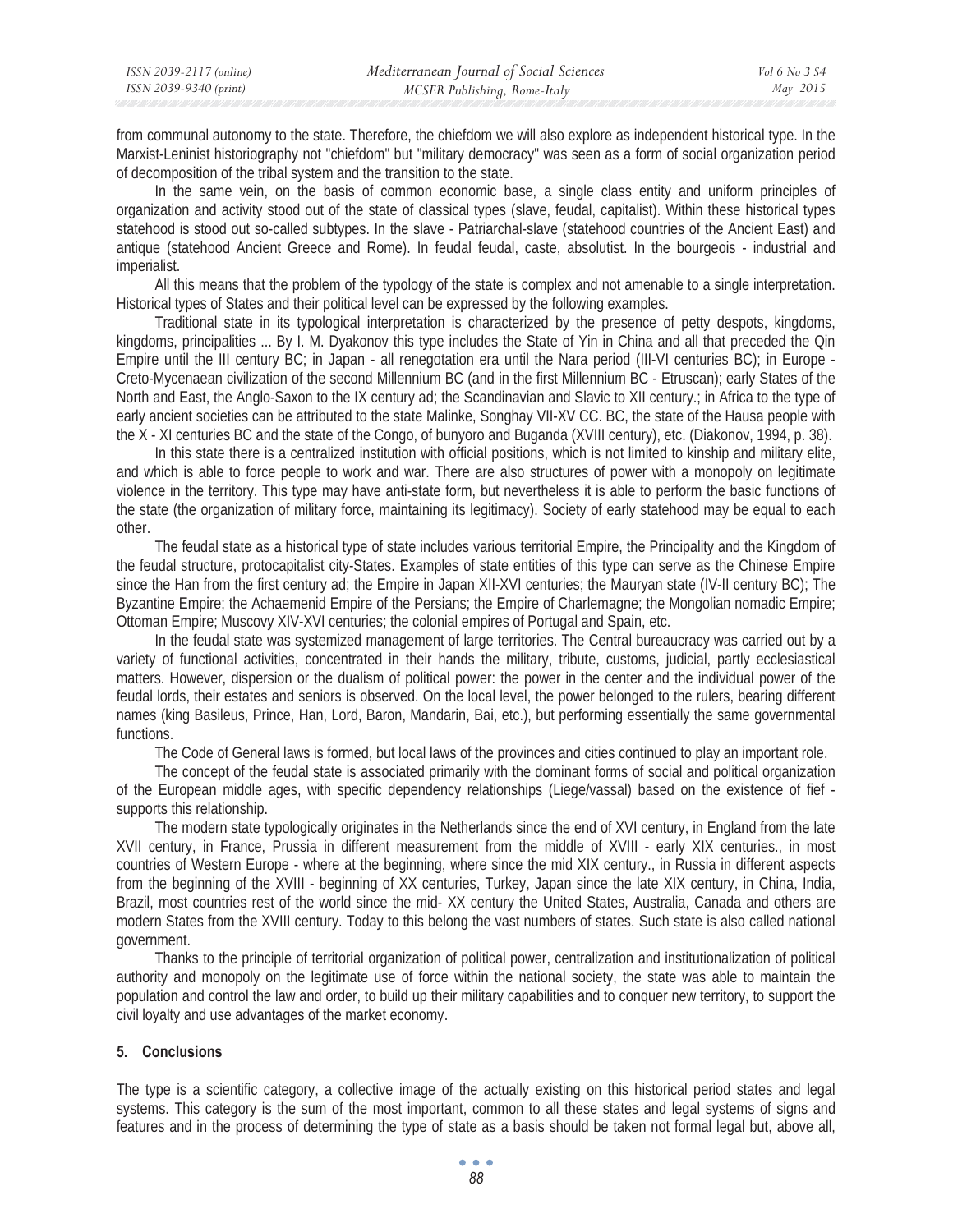from communal autonomy to the state. Therefore, the chiefdom we will also explore as independent historical type. In the Marxist-Leninist historiography not "chiefdom" but "military democracy" was seen as a form of social organization period of decomposition of the tribal system and the transition to the state.

In the same vein, on the basis of common economic base, a single class entity and uniform principles of organization and activity stood out of the state of classical types (slave, feudal, capitalist). Within these historical types statehood is stood out so-called subtypes. In the slave - Patriarchal-slave (statehood countries of the Ancient East) and antique (statehood Ancient Greece and Rome). In feudal feudal, caste, absolutist. In the bourgeois - industrial and imperialist.

All this means that the problem of the typology of the state is complex and not amenable to a single interpretation. Historical types of States and their political level can be expressed by the following examples.

Traditional state in its typological interpretation is characterized by the presence of petty despots, kingdoms, kingdoms, principalities ... By I. M. Dyakonov this type includes the State of Yin in China and all that preceded the Qin Empire until the III century BC; in Japan - all renegotation era until the Nara period (III-VI centuries BC); in Europe - Creto-Mycenaean civilization of the second Millennium BC (and in the first Millennium BC - Etruscan); early States of the North and East, the Anglo-Saxon to the IX century ad; the Scandinavian and Slavic to XII century.; in Africa to the type of early ancient societies can be attributed to the state Malinke, Songhay VII-XV CC. BC, the state of the Hausa people with the X - XI centuries BC and the state of the Congo, of bunyoro and Buganda (XVIII century), etc. (Diakonov, 1994, p. 38).

In this state there is a centralized institution with official positions, which is not limited to kinship and military elite, and which is able to force people to work and war. There are also structures of power with a monopoly on legitimate violence in the territory. This type may have anti-state form, but nevertheless it is able to perform the basic functions of the state (the organization of military force, maintaining its legitimacy). Society of early statehood may be equal to each other.

The feudal state as a historical type of state includes various territorial Empire, the Principality and the Kingdom of the feudal structure, protocapitalist city-States. Examples of state entities of this type can serve as the Chinese Empire since the Han from the first century ad; the Empire in Japan XII-XVI centuries; the Mauryan state (IV-II century BC); The Byzantine Empire; the Achaemenid Empire of the Persians; the Empire of Charlemagne; the Mongolian nomadic Empire; Ottoman Empire; Muscovy XIV-XVI centuries; the colonial empires of Portugal and Spain, etc.

In the feudal state was systemized management of large territories. The Central bureaucracy was carried out by a variety of functional activities, concentrated in their hands the military, tribute, customs, judicial, partly ecclesiastical matters. However, dispersion or the dualism of political power: the power in the center and the individual power of the feudal lords, their estates and seniors is observed. On the local level, the power belonged to the rulers, bearing different names (king Basileus, Prince, Han, Lord, Baron, Mandarin, Bai, etc.), but performing essentially the same governmental functions.

The Code of General laws is formed, but local laws of the provinces and cities continued to play an important role.

The concept of the feudal state is associated primarily with the dominant forms of social and political organization of the European middle ages, with specific dependency relationships (Liege/vassal) based on the existence of fief supports this relationship.

The modern state typologically originates in the Netherlands since the end of XVI century, in England from the late XVII century, in France, Prussia in different measurement from the middle of XVIII - early XIX centuries., in most countries of Western Europe - where at the beginning, where since the mid XIX century., in Russia in different aspects from the beginning of the XVIII - beginning of XX centuries, Turkey, Japan since the late XIX century, in China, India, Brazil, most countries rest of the world since the mid- XX century the United States, Australia, Canada and others are modern States from the XVIII century. Today to this belong the vast numbers of states. Such state is also called national government.

Thanks to the principle of territorial organization of political power, centralization and institutionalization of political authority and monopoly on the legitimate use of force within the national society, the state was able to maintain the population and control the law and order, to build up their military capabilities and to conquer new territory, to support the civil loyalty and use advantages of the market economy.

# **5. Conclusions**

The type is a scientific category, a collective image of the actually existing on this historical period states and legal systems. This category is the sum of the most important, common to all these states and legal systems of signs and features and in the process of determining the type of state as a basis should be taken not formal legal but, above all,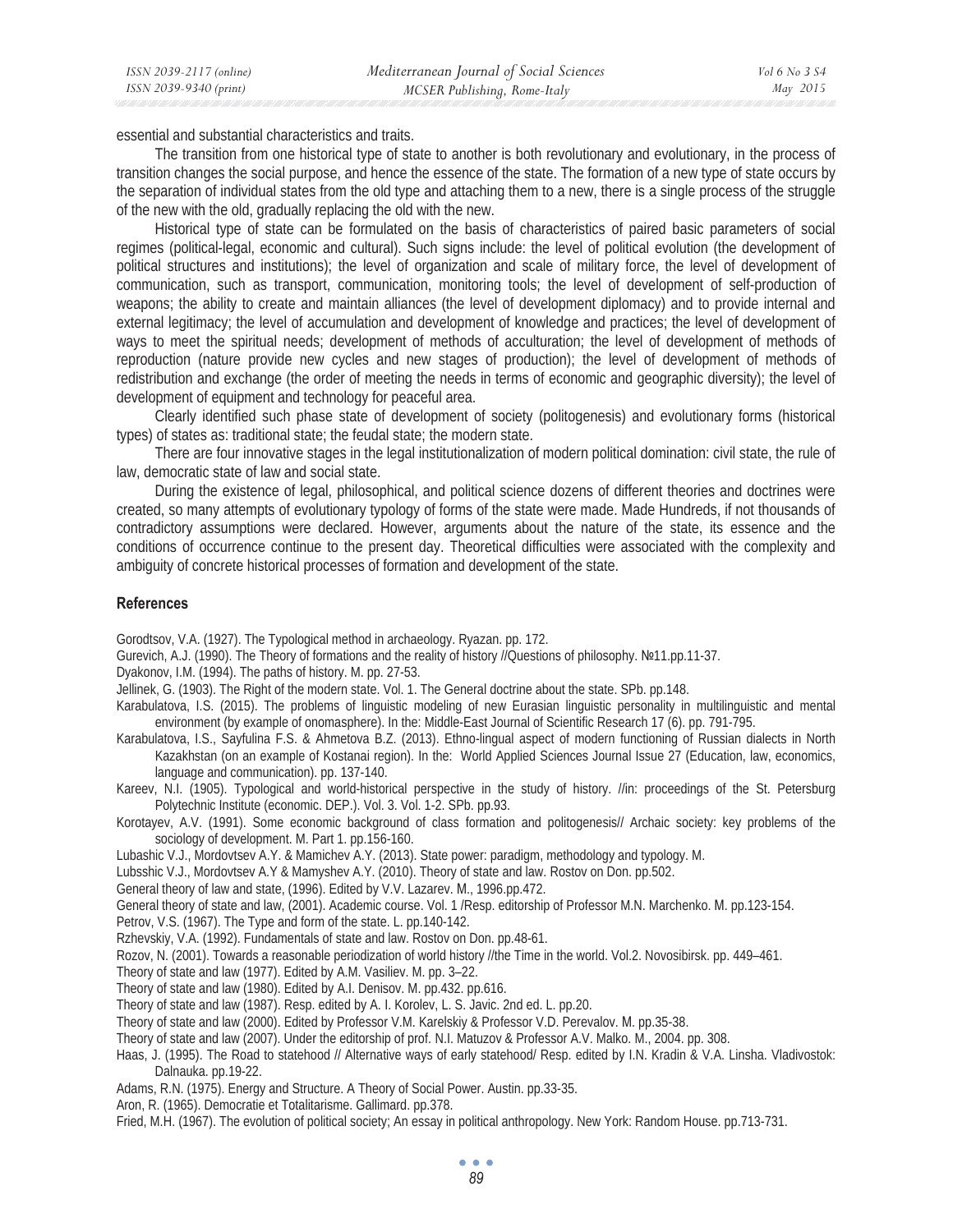essential and substantial characteristics and traits.

The transition from one historical type of state to another is both revolutionary and evolutionary, in the process of transition changes the social purpose, and hence the essence of the state. The formation of a new type of state occurs by the separation of individual states from the old type and attaching them to a new, there is a single process of the struggle of the new with the old, gradually replacing the old with the new.

Historical type of state can be formulated on the basis of characteristics of paired basic parameters of social regimes (political-legal, economic and cultural). Such signs include: the level of political evolution (the development of political structures and institutions); the level of organization and scale of military force, the level of development of communication, such as transport, communication, monitoring tools; the level of development of self-production of weapons; the ability to create and maintain alliances (the level of development diplomacy) and to provide internal and external legitimacy; the level of accumulation and development of knowledge and practices; the level of development of ways to meet the spiritual needs; development of methods of acculturation; the level of development of methods of reproduction (nature provide new cycles and new stages of production); the level of development of methods of redistribution and exchange (the order of meeting the needs in terms of economic and geographic diversity); the level of development of equipment and technology for peaceful area.

Clearly identified such phase state of development of society (politogenesis) and evolutionary forms (historical types) of states as: traditional state; the feudal state; the modern state.

There are four innovative stages in the legal institutionalization of modern political domination: civil state, the rule of law, democratic state of law and social state.

During the existence of legal, philosophical, and political science dozens of different theories and doctrines were created, so many attempts of evolutionary typology of forms of the state were made. Made Hundreds, if not thousands of contradictory assumptions were declared. However, arguments about the nature of the state, its essence and the conditions of occurrence continue to the present day. Theoretical difficulties were associated with the complexity and ambiguity of concrete historical processes of formation and development of the state.

### **References**

Gorodtsov, V.A. (1927). The Typological method in archaeology. Ryazan. pp. 172.

- Gurevich, A.J. (1990). The Theory of formations and the reality of history //Questions of philosophy. №11.pp.11-37.
- Dyakonov, I.M. (1994). The paths of history. M. pp. 27-53.
- Jellinek, G. (1903). The Right of the modern state. Vol. 1. The General doctrine about the state. SPb. pp.148.
- Karabulatova, I.S. (2015). The problems of linguistic modeling of new Eurasian linguistic personality in multilinguistic and mental environment (by example of onomasphere). In the: Middle-East Journal of Scientific Research 17 (6). pp. 791-795.
- Karabulatova, I.S., Sayfulina F.S. & Ahmetova B.Z. (2013). Ethno-lingual aspect of modern functioning of Russian dialects in North Kazakhstan (on an example of Kostanai region). In the: World Applied Sciences Journal Issue 27 (Education, law, economics, language and communication). pp. 137-140.

Kareev, N.I. (1905). Typological and world-historical perspective in the study of history. //in: proceedings of the St. Petersburg Polytechnic Institute (economic. DEP.). Vol. 3. Vol. 1-2. SPb. pp.93.

Korotayev, A.V. (1991). Some economic background of class formation and politogenesis// Archaic society: key problems of the sociology of development. M. Part 1. pp.156-160.

Lubashic V.J., Mordovtsev A.Y. & Mamichev A.Y. (2013). State power: paradigm, methodology and typology. M.

Lubsshic V.J., Mordovtsev A.Y & Mamyshev A.Y. (2010). Theory of state and law. Rostov on Don. pp.502.

General theory of law and state, (1996). Edited by V.V. Lazarev. Ɇ., 1996.pp.472.

General theory of state and law, (2001). Academic course. Vol. 1 /Resp. editorship of Professor M.N. Marchenko. M. pp.123-154.

Petrov, V.S. (1967). The Type and form of the state. L. pp.140-142.

Rzhevskiy, V.A. (1992). Fundamentals of state and law. Rostov on Don. pp.48-61.

Rozov, N. (2001). Towards a reasonable periodization of world history //the Time in the world. Vol.2. Novosibirsk. pp. 449–461.

Theory of state and law (1977). Edited by A.M. Vasiliev. M. pp. 3–22.

Theory of state and law (1980). Edited by A.I. Denisov. M. pp.432. pp.616.

Theory of state and law (1987). Resp. edited by A. I. Korolev, L. S. Javic. 2nd ed. L. pp.20.

Theory of state and law (2000). Edited by Professor V.M. Karelskiy & Professor V.D. Perevalov. Ɇ. pp.35-38.

Theory of state and law (2007). Under the editorship of prof. N.I. Matuzov & Professor A.V. Malko. M., 2004. pp. 308.

Haas, J. (1995). The Road to statehood // Alternative ways of early statehood/ Resp. edited by I.N. Kradin & V.A. Linsha. Vladivostok: Dalnauka. pp.19-22.

Adams, R.N. (1975). Energy and Structure. A Theory of Social Power. Austin. pp.33-35.

Aron, R. (1965). Democratie et Totalitarisme. Gallimard. pp.378.

Fried, M.H. (1967). The evolution of political society; An essay in political anthropology. New York: Random House. pp.713-731.